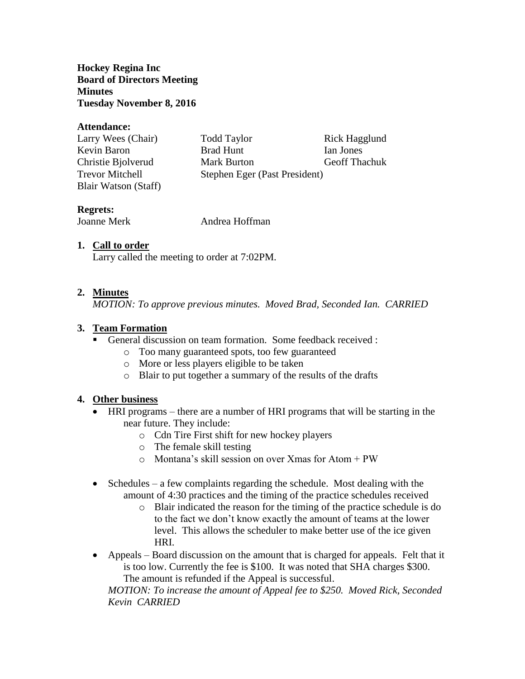**Hockey Regina Inc Board of Directors Meeting Minutes Tuesday November 8, 2016**

#### **Attendance:**

| Larry Wees (Chair)     | <b>Todd Taylor</b>            | Rick Hagglund        |
|------------------------|-------------------------------|----------------------|
| Kevin Baron            | <b>Brad Hunt</b>              | Ian Jones            |
| Christie Bjolverud     | <b>Mark Burton</b>            | <b>Geoff Thachuk</b> |
| <b>Trevor Mitchell</b> | Stephen Eger (Past President) |                      |
| Blair Watson (Staff)   |                               |                      |

## **Regrets:**

Joanne Merk Andrea Hoffman

# **1. Call to order**

Larry called the meeting to order at 7:02PM.

## **2. Minutes**

*MOTION: To approve previous minutes. Moved Brad, Seconded Ian. CARRIED*

#### **3. Team Formation**

- General discussion on team formation. Some feedback received :
	- o Too many guaranteed spots, too few guaranteed
	- o More or less players eligible to be taken
	- o Blair to put together a summary of the results of the drafts

# **4. Other business**

- HRI programs there are a number of HRI programs that will be starting in the near future. They include:
	- o Cdn Tire First shift for new hockey players
	- o The female skill testing
	- $\circ$  Montana's skill session on over Xmas for Atom + PW
- $\bullet$  Schedules a few complaints regarding the schedule. Most dealing with the amount of 4:30 practices and the timing of the practice schedules received
	- o Blair indicated the reason for the timing of the practice schedule is do to the fact we don't know exactly the amount of teams at the lower level. This allows the scheduler to make better use of the ice given HRI.
- Appeals Board discussion on the amount that is charged for appeals. Felt that it is too low. Currently the fee is \$100. It was noted that SHA charges \$300. The amount is refunded if the Appeal is successful.

*MOTION: To increase the amount of Appeal fee to \$250. Moved Rick, Seconded Kevin CARRIED*